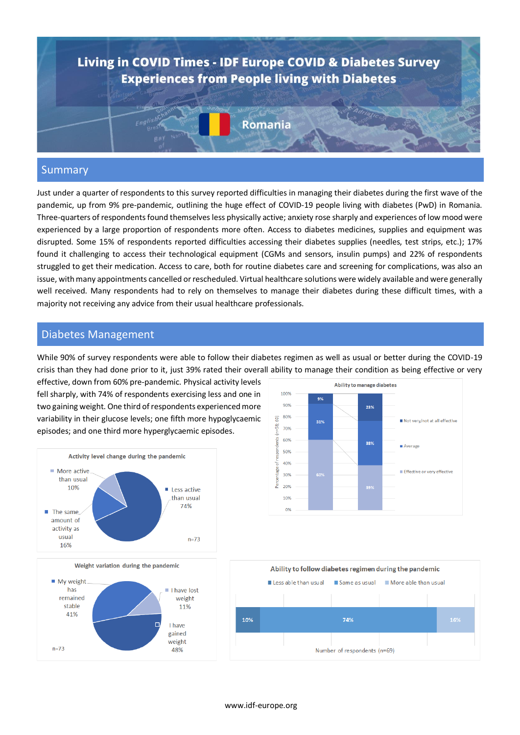

#### Summary

Just under a quarter of respondents to this survey reported difficulties in managing their diabetes during the first wave of the pandemic, up from 9% pre-pandemic, outlining the huge effect of COVID-19 people living with diabetes (PwD) in Romania. Three-quarters of respondents found themselves less physically active; anxiety rose sharply and experiences of low mood were experienced by a large proportion of respondents more often. Access to diabetes medicines, supplies and equipment was disrupted. Some 15% of respondents reported difficulties accessing their diabetes supplies (needles, test strips, etc.); 17% found it challenging to access their technological equipment (CGMs and sensors, insulin pumps) and 22% of respondents struggled to get their medication. Access to care, both for routine diabetes care and screening for complications, was also an issue, with many appointments cancelled or rescheduled. Virtual healthcare solutions were widely available and were generally well received. Many respondents had to rely on themselves to manage their diabetes during these difficult times, with a majority not receiving any advice from their usual healthcare professionals.

#### Diabetes Management

While 90% of survey respondents were able to follow their diabetes regimen as well as usual or better during the COVID-19 crisis than they had done prior to it, just 39% rated their overall ability to manage their condition as being effective or very

effective, down from 60% pre-pandemic. Physical activity levels fell sharply, with 74% of respondents exercising less and one in two gaining weight. One third of respondents experienced more variability in their glucose levels; one fifth more hypoglycaemic episodes; and one third more hyperglycaemic episodes.







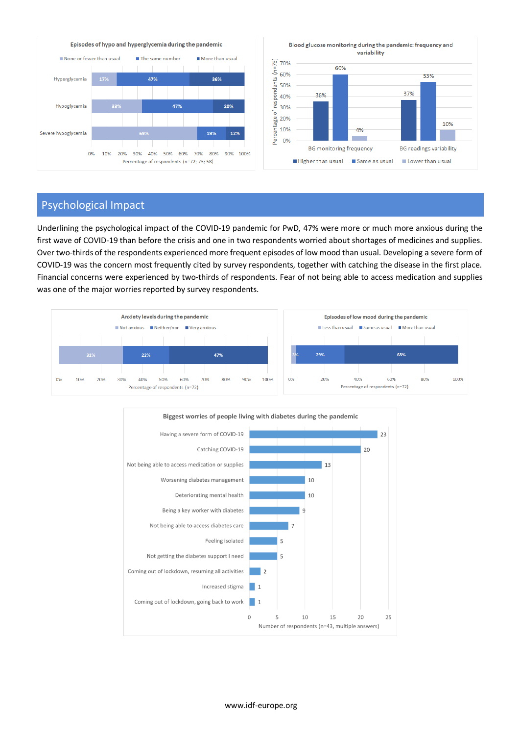

### Psychological Impact

Underlining the psychological impact of the COVID-19 pandemic for PwD, 47% were more or much more anxious during the first wave of COVID-19 than before the crisis and one in two respondents worried about shortages of medicines and supplies. Over two-thirds of the respondents experienced more frequent episodes of low mood than usual. Developing a severe form of COVID-19 was the concern most frequently cited by survey respondents, together with catching the disease in the first place. Financial concerns were experienced by two-thirds of respondents. Fear of not being able to access medication and supplies was one of the major worries reported by survey respondents.



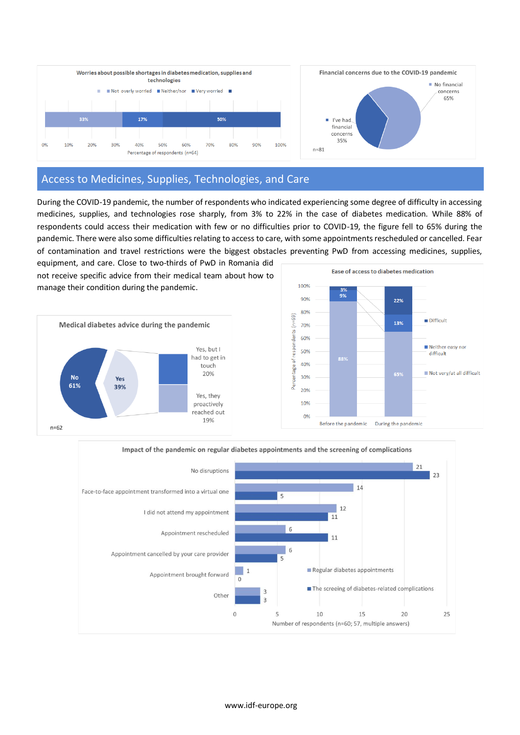

## Access to Medicines, Supplies, Technologies, and Care

During the COVID-19 pandemic, the number of respondents who indicated experiencing some degree of difficulty in accessing medicines, supplies, and technologies rose sharply, from 3% to 22% in the case of diabetes medication. While 88% of respondents could access their medication with few or no difficulties prior to COVID-19, the figure fell to 65% during the pandemic. There were also some difficulties relating to access to care, with some appointments rescheduled or cancelled. Fear of contamination and travel restrictions were the biggest obstacles preventing PwD from accessing medicines, supplies,

equipment, and care. Close to two-thirds of PwD in Romania did not receive specific advice from their medical team about how to manage their condition during the pandemic.





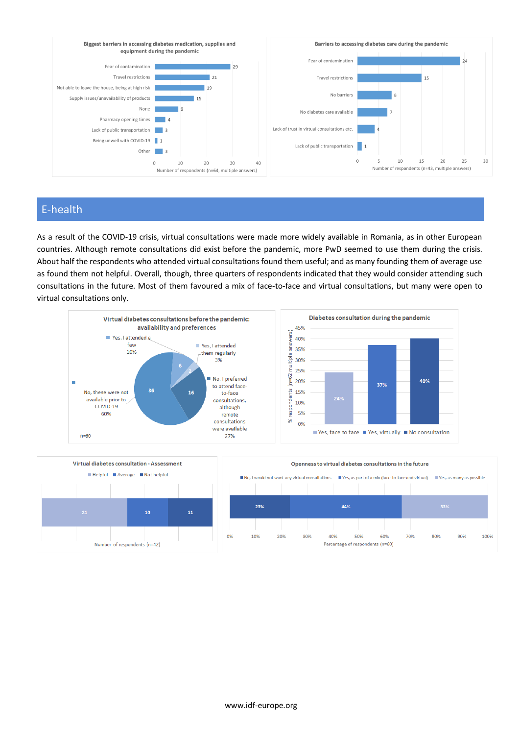

# E-health

As a result of the COVID-19 crisis, virtual consultations were made more widely available in Romania, as in other European countries. Although remote consultations did exist before the pandemic, more PwD seemed to use them during the crisis. About half the respondents who attended virtual consultations found them useful; and as many founding them of average use as found them not helpful. Overall, though, three quarters of respondents indicated that they would consider attending such consultations in the future. Most of them favoured a mix of face-to-face and virtual consultations, but many were open to virtual consultations only.